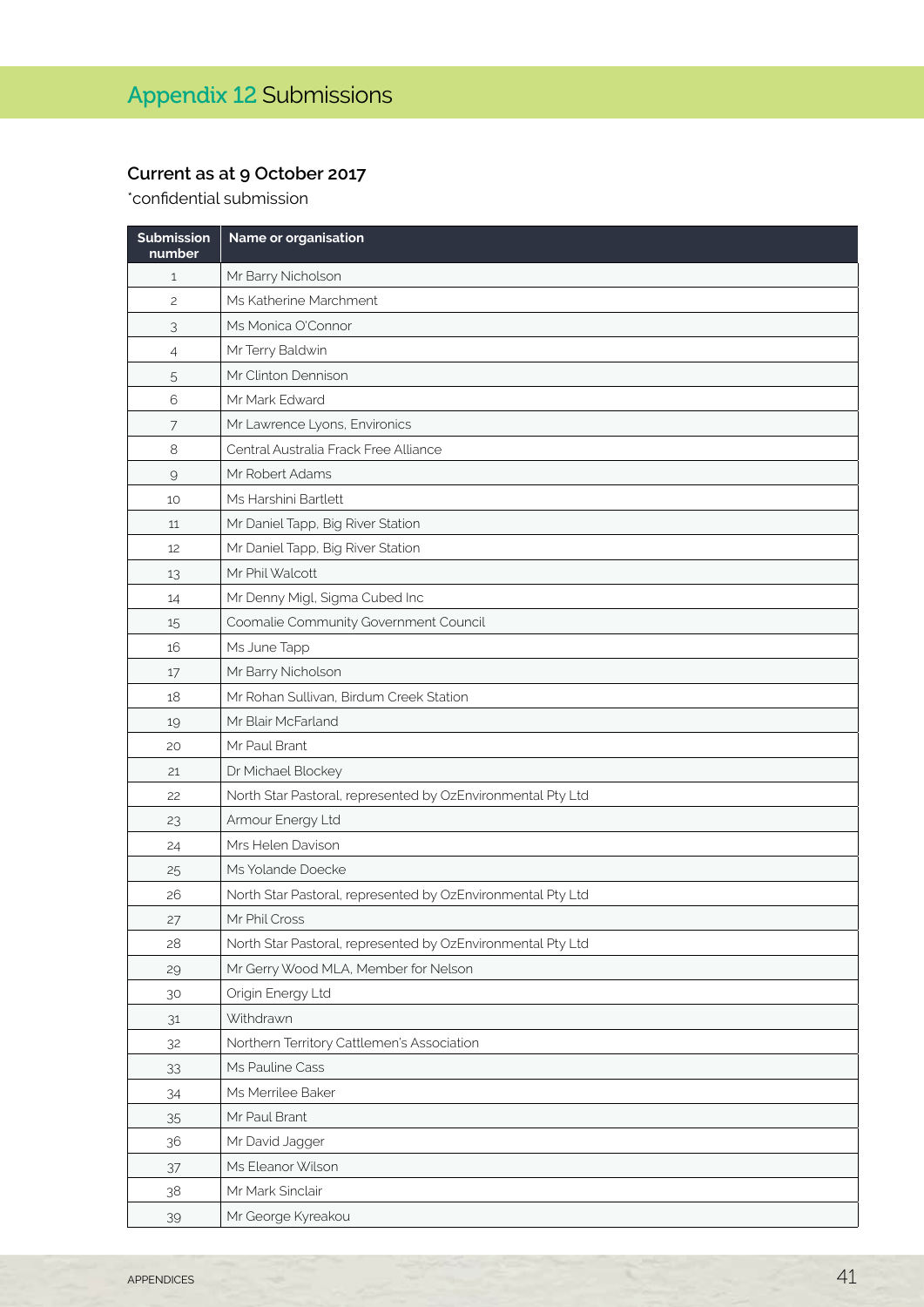## **Current as at 9 October 2017**

\*confidential submission

| Submission<br>number | Name or organisation                                        |
|----------------------|-------------------------------------------------------------|
| $\mathbf{1}$         | Mr Barry Nicholson                                          |
| $\overline{c}$       | Ms Katherine Marchment                                      |
| 3                    | Ms Monica O'Connor                                          |
| 4                    | Mr Terry Baldwin                                            |
| 5                    | Mr Clinton Dennison                                         |
| 6                    | Mr Mark Edward                                              |
| 7                    | Mr Lawrence Lyons, Environics                               |
| $\,8\,$              | Central Australia Frack Free Alliance                       |
| $\mathcal{G}$        | Mr Robert Adams                                             |
| 10                   | Ms Harshini Bartlett                                        |
| 11                   | Mr Daniel Tapp, Big River Station                           |
| 12                   | Mr Daniel Tapp, Big River Station                           |
| 13                   | Mr Phil Walcott                                             |
| 14                   | Mr Denny Migl, Sigma Cubed Inc                              |
| 15                   | Coomalie Community Government Council                       |
| 16                   | Ms June Tapp                                                |
| 17                   | Mr Barry Nicholson                                          |
| 18                   | Mr Rohan Sullivan, Birdum Creek Station                     |
| 19                   | Mr Blair McFarland                                          |
| 20                   | Mr Paul Brant                                               |
| 21                   | Dr Michael Blockey                                          |
| 22                   | North Star Pastoral, represented by OzEnvironmental Pty Ltd |
| 23                   | Armour Energy Ltd                                           |
| 24                   | Mrs Helen Davison                                           |
| 25                   | Ms Yolande Doecke                                           |
| 26                   | North Star Pastoral, represented by OzEnvironmental Pty Ltd |
| 27                   | Mr Phil Cross                                               |
| 28                   | North Star Pastoral, represented by OzEnvironmental Pty Ltd |
| 29                   | Mr Gerry Wood MLA, Member for Nelson                        |
| 30                   | Origin Energy Ltd                                           |
| 31                   | Withdrawn                                                   |
| 32                   | Northern Territory Cattlemen's Association                  |
| 33                   | Ms Pauline Cass                                             |
| 34                   | Ms Merrilee Baker                                           |
| 35                   | Mr Paul Brant                                               |
| 36                   | Mr David Jagger                                             |
| 37                   | Ms Eleanor Wilson                                           |
| 38                   | Mr Mark Sinclair                                            |
| 39                   | Mr George Kyreakou                                          |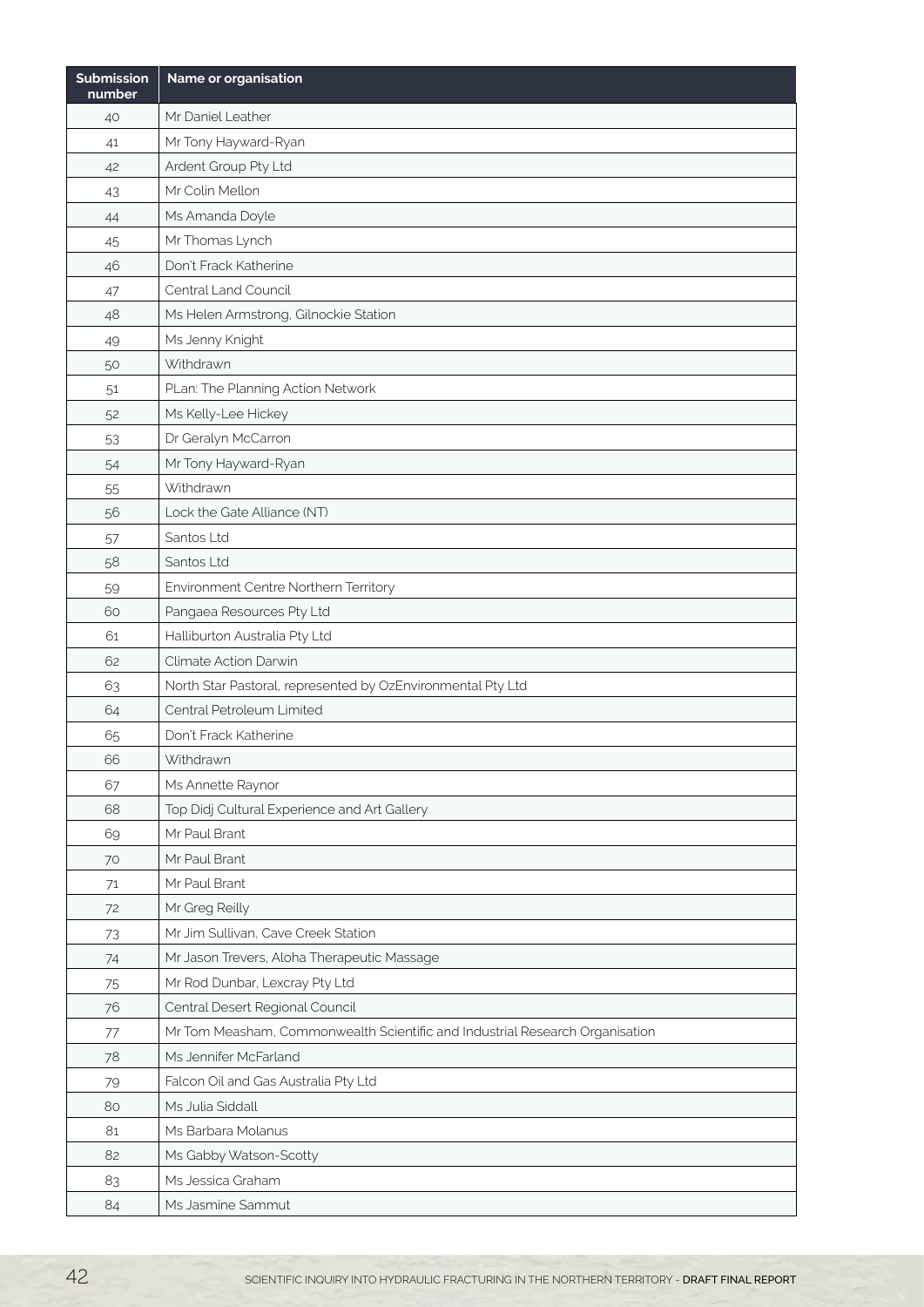| <b>Submission</b><br>number | Name or organisation                                                         |
|-----------------------------|------------------------------------------------------------------------------|
| 40                          | Mr Daniel Leather                                                            |
| 41                          | Mr Tony Hayward-Ryan                                                         |
| 42                          | Ardent Group Pty Ltd                                                         |
| 43                          | Mr Colin Mellon                                                              |
| 44                          | Ms Amanda Doyle                                                              |
| 45                          | Mr Thomas Lynch                                                              |
| 46                          | Don't Frack Katherine                                                        |
| 47                          | Central Land Council                                                         |
| 48                          | Ms Helen Armstrong, Gilnockie Station                                        |
| 49                          | Ms Jenny Knight                                                              |
| 50                          | Withdrawn                                                                    |
| 51                          | PLan: The Planning Action Network                                            |
| 52                          | Ms Kelly-Lee Hickey                                                          |
| 53                          | Dr Geralyn McCarron                                                          |
| 54                          | Mr Tony Hayward-Ryan                                                         |
| 55                          | Withdrawn                                                                    |
| 56                          | Lock the Gate Alliance (NT)                                                  |
| 57                          | Santos Ltd                                                                   |
| 58                          | Santos Ltd                                                                   |
| 59                          | Environment Centre Northern Territory                                        |
| 60                          | Pangaea Resources Pty Ltd                                                    |
| 61                          | Halliburton Australia Pty Ltd                                                |
| 62                          | Climate Action Darwin                                                        |
| 63                          | North Star Pastoral, represented by OzEnvironmental Pty Ltd                  |
| 64                          | Central Petroleum Limited                                                    |
| 65                          | Don't Frack Katherine                                                        |
| 66                          | Withdrawn                                                                    |
| 67                          | Ms Annette Raynor                                                            |
| 68                          | Top Didj Cultural Experience and Art Gallery                                 |
| 69                          | Mr Paul Brant                                                                |
| 70                          | Mr Paul Brant                                                                |
| 71                          | Mr Paul Brant                                                                |
| 72                          | Mr Greg Reilly                                                               |
| 73                          | Mr Jim Sullivan, Cave Creek Station                                          |
| 74                          | Mr Jason Trevers, Aloha Therapeutic Massage                                  |
| 75                          | Mr Rod Dunbar, Lexcray Pty Ltd                                               |
| 76                          | Central Desert Regional Council                                              |
| 77                          | Mr Tom Measham, Commonwealth Scientific and Industrial Research Organisation |
| 78                          | Ms Jennifer McFarland                                                        |
| 79                          | Falcon Oil and Gas Australia Pty Ltd                                         |
| 80                          | Ms Julia Siddall                                                             |
| 81                          | Ms Barbara Molanus                                                           |
| 82                          | Ms Gabby Watson-Scotty                                                       |
| 83                          | Ms Jessica Graham                                                            |
| 84                          | Ms Jasmine Sammut                                                            |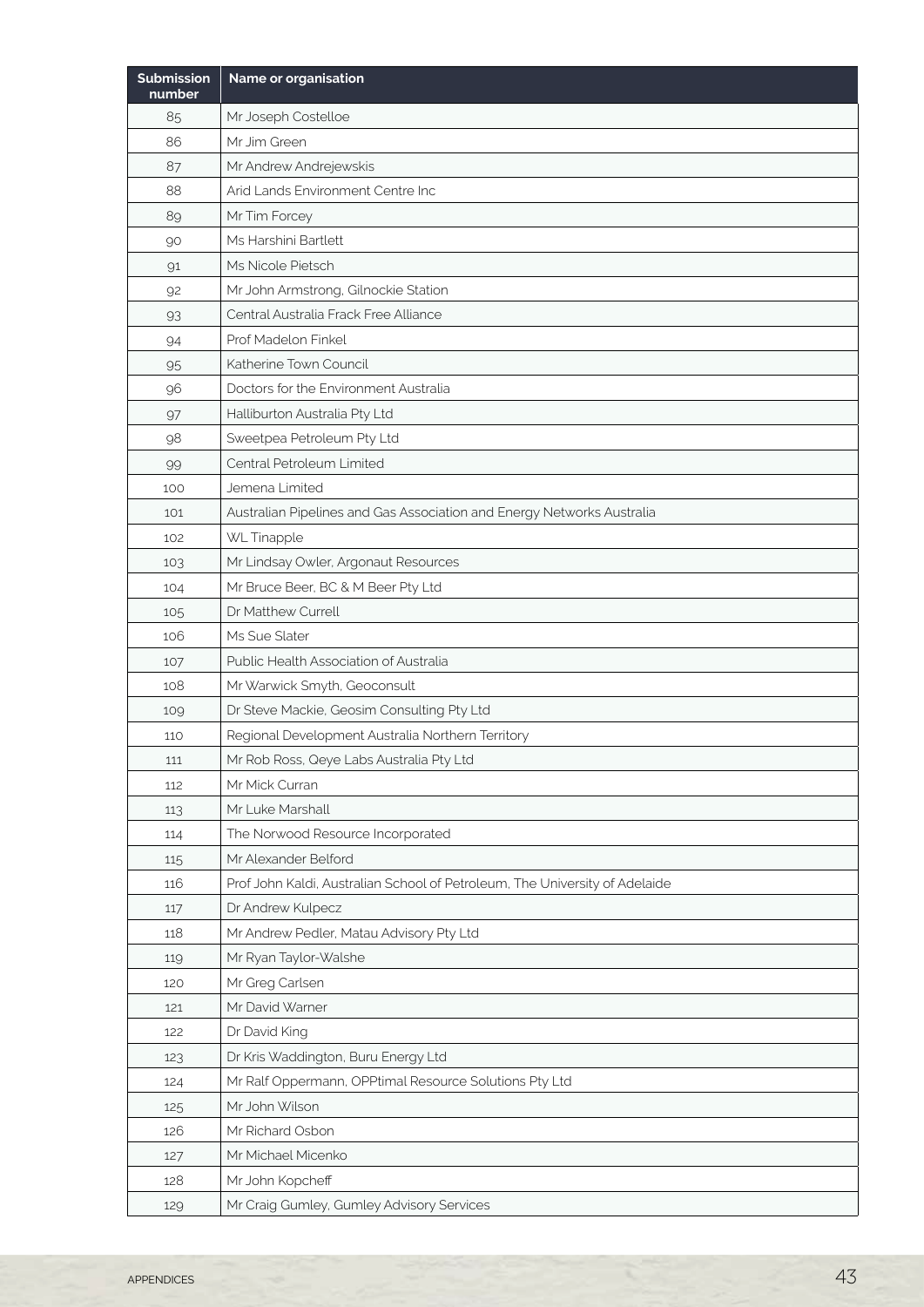| Submission<br>number | Name or organisation                                                        |
|----------------------|-----------------------------------------------------------------------------|
| 85                   | Mr Joseph Costelloe                                                         |
| 86                   | Mr Jim Green                                                                |
| 87                   | Mr Andrew Andrejewskis                                                      |
| 88                   | Arid Lands Environment Centre Inc                                           |
| 89                   | Mr Tim Forcey                                                               |
| 90                   | Ms Harshini Bartlett                                                        |
| 91                   | Ms Nicole Pietsch                                                           |
| 92                   | Mr John Armstrong, Gilnockie Station                                        |
| 93                   | Central Australia Frack Free Alliance                                       |
| 94                   | Prof Madelon Finkel                                                         |
| 95                   | Katherine Town Council                                                      |
| 96                   | Doctors for the Environment Australia                                       |
| 97                   | Halliburton Australia Pty Ltd                                               |
| 98                   | Sweetpea Petroleum Pty Ltd                                                  |
| 99                   | Central Petroleum Limited                                                   |
| 100                  | Jemena Limited                                                              |
| 101                  | Australian Pipelines and Gas Association and Energy Networks Australia      |
| 102                  | WL Tinapple                                                                 |
| 103                  | Mr Lindsay Owler, Argonaut Resources                                        |
| 104                  | Mr Bruce Beer, BC & M Beer Pty Ltd                                          |
| 105                  | Dr Matthew Currell                                                          |
| 106                  | Ms Sue Slater                                                               |
| 107                  | Public Health Association of Australia                                      |
| 108                  | Mr Warwick Smyth, Geoconsult                                                |
| 109                  | Dr Steve Mackie, Geosim Consulting Pty Ltd                                  |
| 110                  | Regional Development Australia Northern Territory                           |
| 111                  | Mr Rob Ross, Qeye Labs Australia Pty Ltd                                    |
| 112                  | Mr Mick Curran                                                              |
| 113                  | Mr Luke Marshall                                                            |
| 114                  | The Norwood Resource Incorporated                                           |
| 115                  | Mr Alexander Belford                                                        |
| 116                  | Prof John Kaldi, Australian School of Petroleum, The University of Adelaide |
| 117                  | Dr Andrew Kulpecz                                                           |
| 118                  | Mr Andrew Pedler, Matau Advisory Pty Ltd                                    |
| 119                  | Mr Ryan Taylor-Walshe                                                       |
| 120                  | Mr Greg Carlsen                                                             |
| 121                  | Mr David Warner                                                             |
| 122                  | Dr David King                                                               |
| 123                  | Dr Kris Waddington, Buru Energy Ltd                                         |
| 124                  | Mr Ralf Oppermann, OPPtimal Resource Solutions Pty Ltd                      |
| 125                  | Mr John Wilson                                                              |
| 126                  | Mr Richard Osbon                                                            |
| 127                  | Mr Michael Micenko                                                          |
| 128                  | Mr John Kopcheff                                                            |
| 129                  | Mr Craig Gumley, Gumley Advisory Services                                   |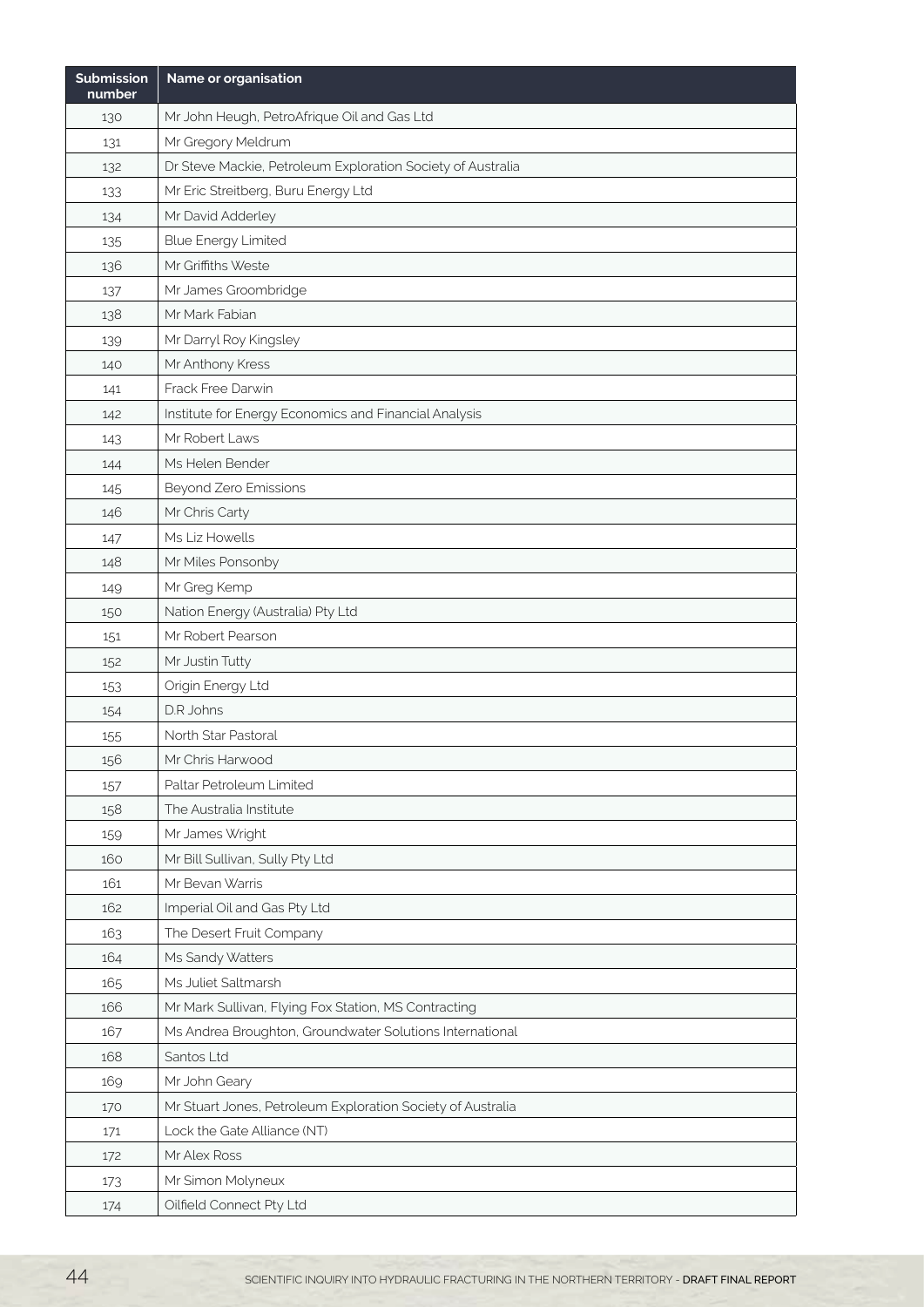| <b>Submission</b><br>number | Name or organisation                                        |
|-----------------------------|-------------------------------------------------------------|
| 130                         | Mr John Heugh, PetroAfrique Oil and Gas Ltd                 |
| 131                         | Mr Gregory Meldrum                                          |
| 132                         | Dr Steve Mackie, Petroleum Exploration Society of Australia |
| 133                         | Mr Eric Streitberg, Buru Energy Ltd                         |
| 134                         | Mr David Adderley                                           |
| 135                         | <b>Blue Energy Limited</b>                                  |
| 136                         | Mr Griffiths Weste                                          |
| 137                         | Mr James Groombridge                                        |
| 138                         | Mr Mark Fabian                                              |
| 139                         | Mr Darryl Roy Kingsley                                      |
| 140                         | Mr Anthony Kress                                            |
| 141                         | Frack Free Darwin                                           |
| 142                         | Institute for Energy Economics and Financial Analysis       |
| 143                         | Mr Robert Laws                                              |
| 144                         | Ms Helen Bender                                             |
| 145                         | Beyond Zero Emissions                                       |
| 146                         | Mr Chris Carty                                              |
| 147                         | Ms Liz Howells                                              |
| 148                         | Mr Miles Ponsonby                                           |
| 149                         | Mr Greg Kemp                                                |
| 150                         | Nation Energy (Australia) Pty Ltd                           |
| 151                         | Mr Robert Pearson                                           |
| 152                         | Mr Justin Tutty                                             |
| 153                         | Origin Energy Ltd                                           |
| 154                         | D.R. Johns                                                  |
| 155                         | North Star Pastoral                                         |
| 156                         | Mr Chris Harwood                                            |
| 157                         | Paltar Petroleum Limited                                    |
| 158                         | The Australia Institute                                     |
| 159                         | Mr James Wright                                             |
| 160                         | Mr Bill Sullivan, Sully Pty Ltd                             |
| 161                         | Mr Bevan Warris                                             |
| 162                         | Imperial Oil and Gas Pty Ltd                                |
| 163                         | The Desert Fruit Company                                    |
| 164                         | Ms Sandy Watters                                            |
| 165                         | Ms Juliet Saltmarsh                                         |
| 166                         | Mr Mark Sullivan, Flying Fox Station, MS Contracting        |
| 167                         | Ms Andrea Broughton, Groundwater Solutions International    |
| 168                         | Santos Ltd                                                  |
| 169                         | Mr John Geary                                               |
| 170                         | Mr Stuart Jones, Petroleum Exploration Society of Australia |
| 171                         | Lock the Gate Alliance (NT)                                 |
| 172                         | Mr Alex Ross                                                |
| 173                         | Mr Simon Molyneux                                           |
| 174                         | Oilfield Connect Pty Ltd                                    |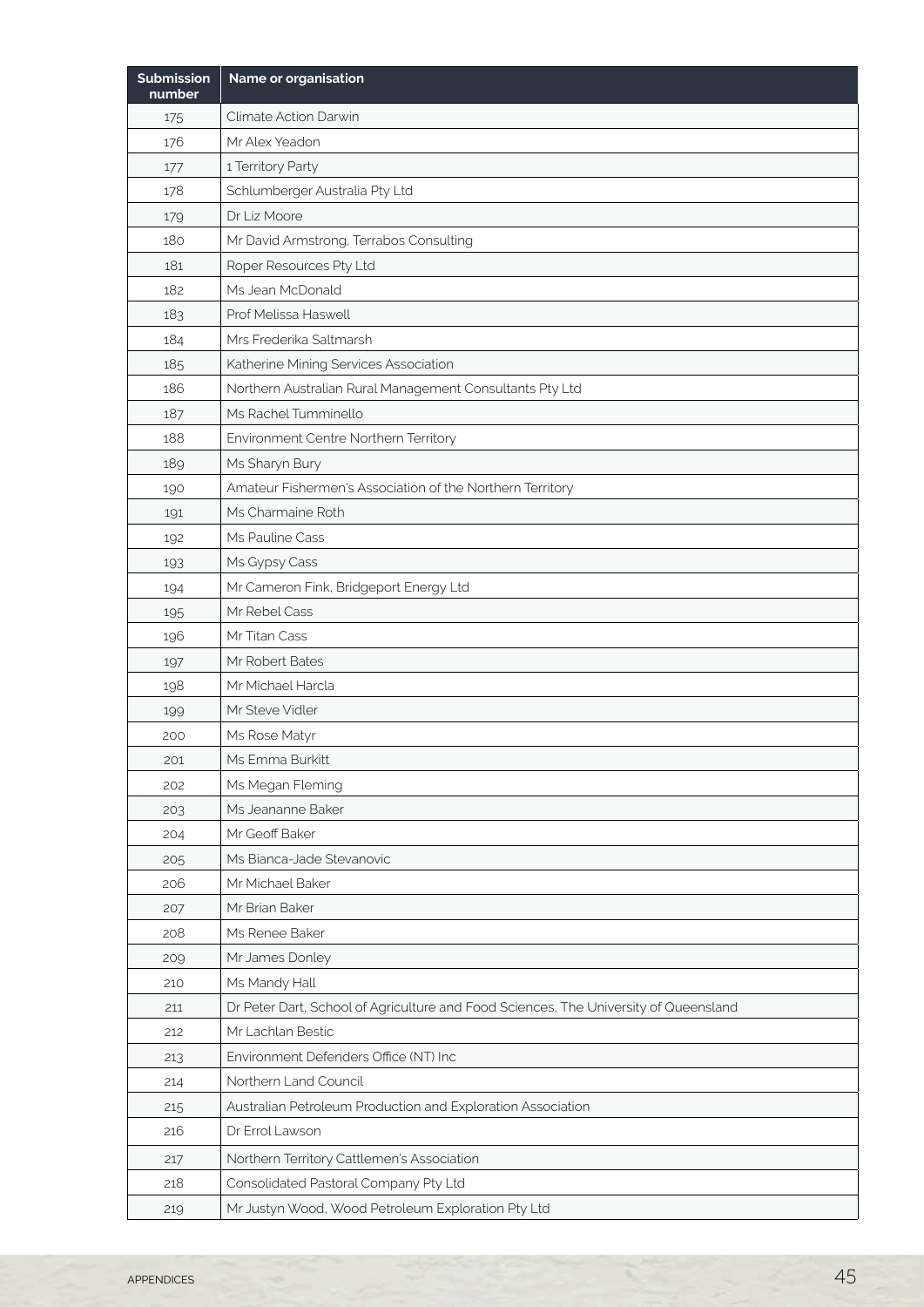| <b>Submission</b><br>number | Name or organisation                                                                 |
|-----------------------------|--------------------------------------------------------------------------------------|
| 175                         | Climate Action Darwin                                                                |
| 176                         | Mr Alex Yeadon                                                                       |
| 177                         | 1 Territory Party                                                                    |
| 178                         | Schlumberger Australia Pty Ltd                                                       |
| 179                         | Dr Liz Moore                                                                         |
| 180                         | Mr David Armstrong, Terrabos Consulting                                              |
| 181                         | Roper Resources Pty Ltd                                                              |
| 182                         | Ms Jean McDonald                                                                     |
| 183                         | Prof Melissa Haswell                                                                 |
| 184                         | Mrs Frederika Saltmarsh                                                              |
| 185                         | Katherine Mining Services Association                                                |
| 186                         | Northern Australian Rural Management Consultants Pty Ltd                             |
| 187                         | Ms Rachel Tumminello                                                                 |
| 188                         | Environment Centre Northern Territory                                                |
| 189                         | Ms Sharyn Bury                                                                       |
| 190                         | Amateur Fishermen's Association of the Northern Territory                            |
| 191                         | Ms Charmaine Roth                                                                    |
| 192                         | Ms Pauline Cass                                                                      |
| 193                         | Ms Gypsy Cass                                                                        |
| 194                         | Mr Cameron Fink, Bridgeport Energy Ltd                                               |
| 195                         | Mr Rebel Cass                                                                        |
| 196                         | Mr Titan Cass                                                                        |
| 197                         | Mr Robert Bates                                                                      |
| 198                         | Mr Michael Harcla                                                                    |
| 199                         | Mr Steve Vidler                                                                      |
| 200                         | Ms Rose Matyr                                                                        |
| 201                         | Ms Emma Burkitt                                                                      |
| 202                         | Ms Megan Fleming                                                                     |
| 203                         | Ms Jeananne Baker                                                                    |
| 204                         | Mr Geoff Baker                                                                       |
| 205                         | Ms Bianca-Jade Stevanovic                                                            |
| 206                         | Mr Michael Baker                                                                     |
| 207                         | Mr Brian Baker                                                                       |
| 208                         | Ms Renee Baker                                                                       |
| 209                         | Mr James Donley                                                                      |
| 210                         | Ms Mandy Hall                                                                        |
| 211                         | Dr Peter Dart, School of Agriculture and Food Sciences, The University of Queensland |
| 212                         | Mr Lachlan Bestic                                                                    |
| 213                         | Environment Defenders Office (NT) Inc                                                |
| 214                         | Northern Land Council                                                                |
| 215                         | Australian Petroleum Production and Exploration Association                          |
| 216                         | Dr Errol Lawson                                                                      |
| 217                         | Northern Territory Cattlemen's Association                                           |
| 218                         | Consolidated Pastoral Company Pty Ltd                                                |
| 219                         | Mr Justyn Wood, Wood Petroleum Exploration Pty Ltd                                   |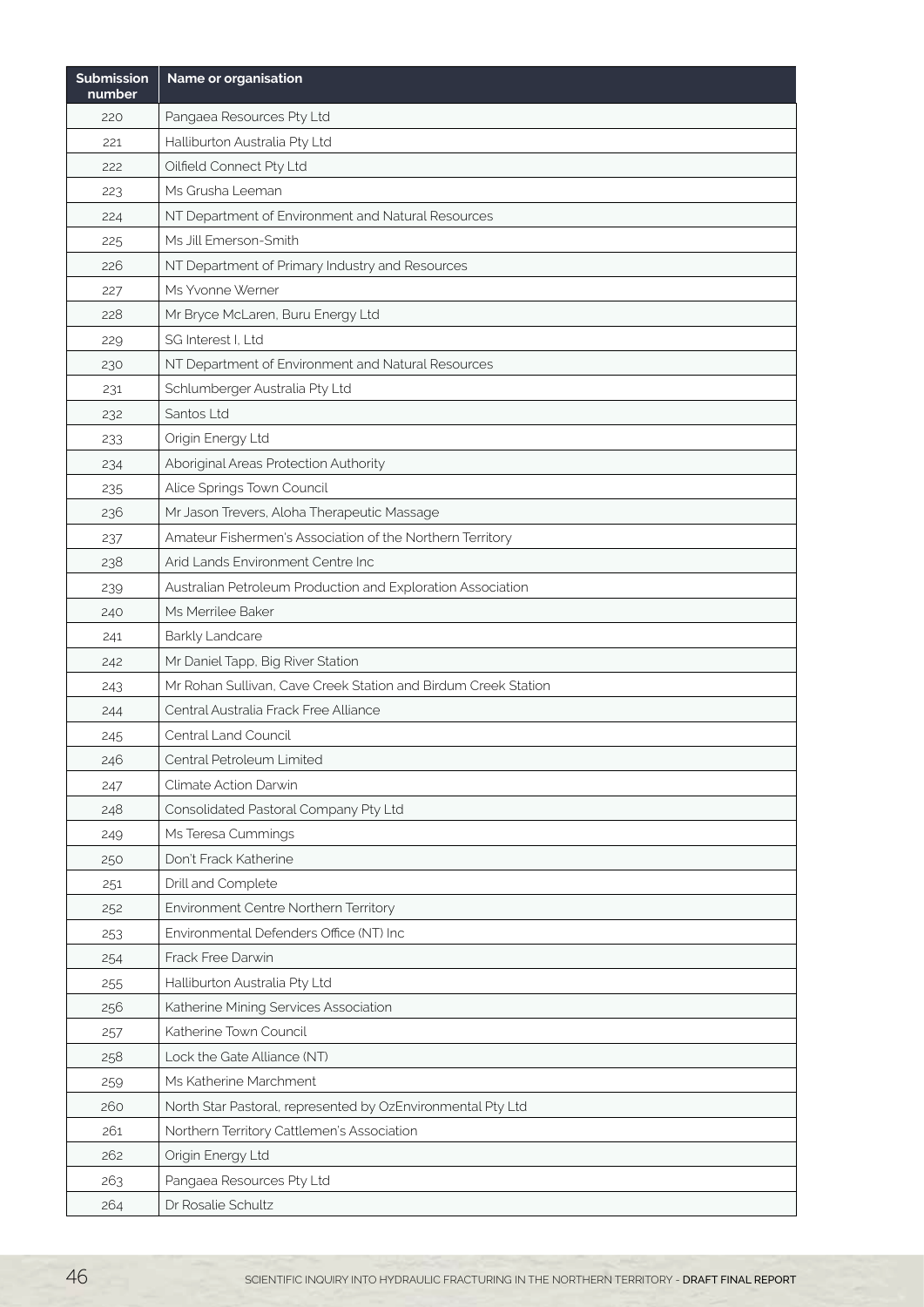| <b>Submission</b><br>number | Name or organisation                                           |
|-----------------------------|----------------------------------------------------------------|
| 220                         | Pangaea Resources Pty Ltd                                      |
| 221                         | Halliburton Australia Pty Ltd                                  |
| 222                         | Oilfield Connect Pty Ltd                                       |
| 223                         | Ms Grusha Leeman                                               |
| 224                         | NT Department of Environment and Natural Resources             |
| 225                         | Ms Jill Emerson-Smith                                          |
| 226                         | NT Department of Primary Industry and Resources                |
| 227                         | Ms Yvonne Werner                                               |
| 228                         | Mr Bryce McLaren, Buru Energy Ltd                              |
| 229                         | SG Interest I, Ltd                                             |
| 230                         | NT Department of Environment and Natural Resources             |
| 231                         | Schlumberger Australia Pty Ltd                                 |
| 232                         | Santos Ltd                                                     |
| 233                         | Origin Energy Ltd                                              |
| 234                         | Aboriginal Areas Protection Authority                          |
| 235                         | Alice Springs Town Council                                     |
| 236                         | Mr Jason Trevers, Aloha Therapeutic Massage                    |
| 237                         | Amateur Fishermen's Association of the Northern Territory      |
| 238                         | Arid Lands Environment Centre Inc                              |
| 239                         | Australian Petroleum Production and Exploration Association    |
| 240                         | Ms Merrilee Baker                                              |
| 241                         | Barkly Landcare                                                |
| 242                         | Mr Daniel Tapp, Big River Station                              |
| 243                         | Mr Rohan Sullivan, Cave Creek Station and Birdum Creek Station |
| 244                         | Central Australia Frack Free Alliance                          |
| 245                         | Central Land Council                                           |
| 246                         | Central Petroleum Limited                                      |
| 247                         | Climate Action Darwin                                          |
| 248                         | Consolidated Pastoral Company Pty Ltd                          |
| 249                         | Ms Teresa Cummings                                             |
| 250                         | Don't Frack Katherine                                          |
| 251                         | Drill and Complete                                             |
| 252                         | Environment Centre Northern Territory                          |
| 253                         | Environmental Defenders Office (NT) Inc                        |
| 254                         | Frack Free Darwin                                              |
| 255                         | Halliburton Australia Pty Ltd                                  |
| 256                         | Katherine Mining Services Association                          |
| 257                         | Katherine Town Council                                         |
| 258                         | Lock the Gate Alliance (NT)                                    |
| 259                         | Ms Katherine Marchment                                         |
| 260                         | North Star Pastoral, represented by OzEnvironmental Pty Ltd    |
| 261                         | Northern Territory Cattlemen's Association                     |
| 262                         | Origin Energy Ltd                                              |
| 263                         | Pangaea Resources Pty Ltd                                      |
| 264                         | Dr Rosalie Schultz                                             |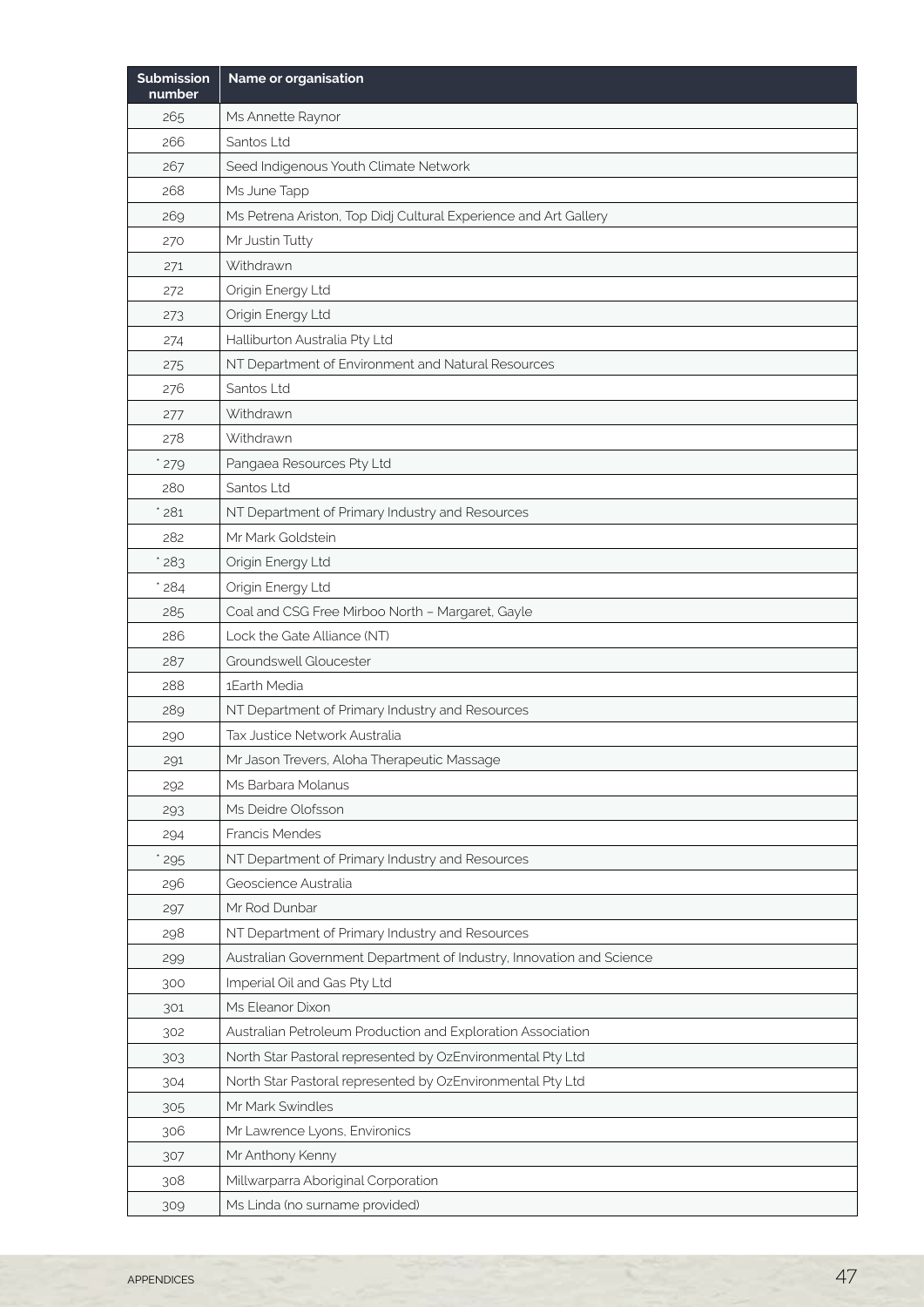| <b>Submission</b><br>number | Name or organisation                                                 |
|-----------------------------|----------------------------------------------------------------------|
| 265                         | Ms Annette Raynor                                                    |
| 266                         | Santos Ltd                                                           |
| 267                         | Seed Indigenous Youth Climate Network                                |
| 268                         | Ms June Tapp                                                         |
| 269                         | Ms Petrena Ariston, Top Didj Cultural Experience and Art Gallery     |
| 270                         | Mr Justin Tutty                                                      |
| 271                         | Withdrawn                                                            |
| 272                         | Origin Energy Ltd                                                    |
| 273                         | Origin Energy Ltd                                                    |
| 274                         | Halliburton Australia Pty Ltd                                        |
| 275                         | NT Department of Environment and Natural Resources                   |
| 276                         | Santos Ltd                                                           |
| 277                         | Withdrawn                                                            |
| 278                         | Withdrawn                                                            |
| 279                         | Pangaea Resources Pty Ltd                                            |
| 280                         | Santos Ltd                                                           |
| 281                         | NT Department of Primary Industry and Resources                      |
| 282                         | Mr Mark Goldstein                                                    |
| 283                         | Origin Energy Ltd                                                    |
| 284                         | Origin Energy Ltd                                                    |
| 285                         | Coal and CSG Free Mirboo North - Margaret, Gayle                     |
| 286                         | Lock the Gate Alliance (NT)                                          |
| 287                         | Groundswell Gloucester                                               |
| 288                         | 1Earth Media                                                         |
| 289                         | NT Department of Primary Industry and Resources                      |
| 290                         | Tax Justice Network Australia                                        |
| 291                         | Mr Jason Trevers, Aloha Therapeutic Massage                          |
| 292                         | Ms Barbara Molanus                                                   |
| 293                         | Ms Deidre Olofsson                                                   |
| 294                         | Francis Mendes                                                       |
| 295                         | NT Department of Primary Industry and Resources                      |
| 296                         | Geoscience Australia                                                 |
| 297                         | Mr Rod Dunbar                                                        |
| 298                         | NT Department of Primary Industry and Resources                      |
| 299                         | Australian Government Department of Industry, Innovation and Science |
| 300                         | Imperial Oil and Gas Pty Ltd                                         |
| 301                         | Ms Eleanor Dixon                                                     |
| 302                         | Australian Petroleum Production and Exploration Association          |
| 303                         | North Star Pastoral represented by OzEnvironmental Pty Ltd           |
| 304                         | North Star Pastoral represented by OzEnvironmental Pty Ltd           |
| 305                         | Mr Mark Swindles                                                     |
| 306                         | Mr Lawrence Lyons, Environics                                        |
| 307                         | Mr Anthony Kenny                                                     |
| 308                         | Millwarparra Aboriginal Corporation                                  |
| 309                         | Ms Linda (no surname provided)                                       |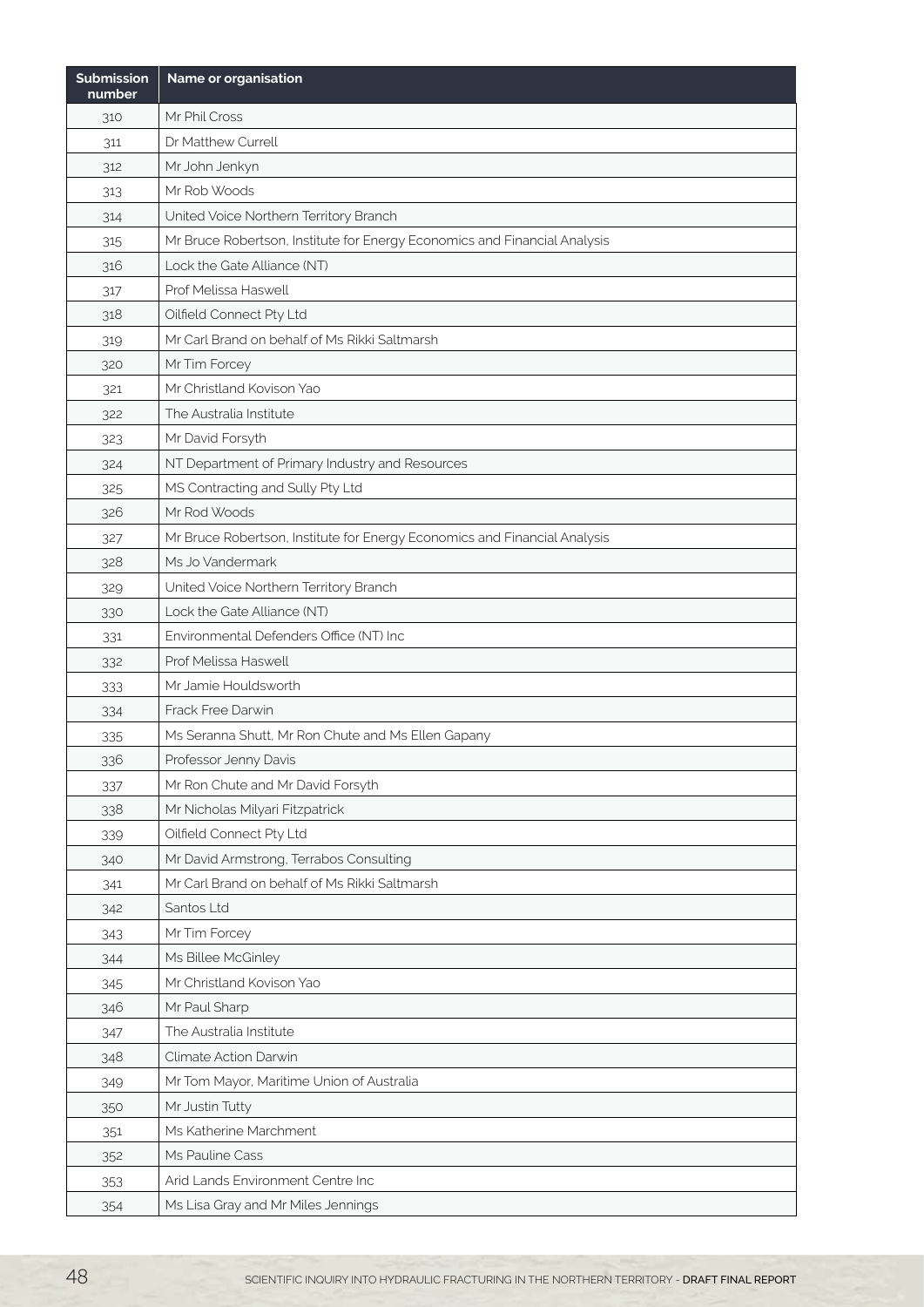| <b>Submission</b><br>number | Name or organisation                                                      |
|-----------------------------|---------------------------------------------------------------------------|
| 310                         | Mr Phil Cross                                                             |
| 311                         | Dr Matthew Currell                                                        |
| 312                         | Mr John Jenkyn                                                            |
| 313                         | Mr Rob Woods                                                              |
| 314                         | United Voice Northern Territory Branch                                    |
| 315                         | Mr Bruce Robertson, Institute for Energy Economics and Financial Analysis |
| 316                         | Lock the Gate Alliance (NT)                                               |
| 317                         | Prof Melissa Haswell                                                      |
| 318                         | Oilfield Connect Pty Ltd                                                  |
| 319                         | Mr Carl Brand on behalf of Ms Rikki Saltmarsh                             |
| 320                         | Mr Tim Forcey                                                             |
| 321                         | Mr Christland Kovison Yao                                                 |
| 322                         | The Australia Institute                                                   |
| 323                         | Mr David Forsyth                                                          |
| 324                         | NT Department of Primary Industry and Resources                           |
| 325                         | MS Contracting and Sully Pty Ltd                                          |
| 326                         | Mr Rod Woods                                                              |
| 327                         | Mr Bruce Robertson, Institute for Energy Economics and Financial Analysis |
| 328                         | Ms Jo Vandermark                                                          |
| 329                         | United Voice Northern Territory Branch                                    |
| 330                         | Lock the Gate Alliance (NT)                                               |
| 331                         | Environmental Defenders Office (NT) Inc                                   |
| 332                         | Prof Melissa Haswell                                                      |
| 333                         | Mr Jamie Houldsworth                                                      |
| 334                         | <b>Frack Free Darwin</b>                                                  |
| 335                         | Ms Seranna Shutt, Mr Ron Chute and Ms Ellen Gapany                        |
| 336                         | Professor Jenny Davis                                                     |
| 337                         | Mr Ron Chute and Mr David Forsyth                                         |
| 338                         | Mr Nicholas Milyari Fitzpatrick                                           |
| 339                         | Oilfield Connect Pty Ltd                                                  |
| 340                         | Mr David Armstrong, Terrabos Consulting                                   |
| 341                         | Mr Carl Brand on behalf of Ms Rikki Saltmarsh                             |
| 342                         | Santos Ltd                                                                |
| 343                         | Mr Tim Forcey                                                             |
| 344                         | Ms Billee McGinley                                                        |
| 345                         | Mr Christland Kovison Yao                                                 |
| 346                         | Mr Paul Sharp                                                             |
| 347                         | The Australia Institute                                                   |
| 348                         | Climate Action Darwin                                                     |
| 349                         | Mr Tom Mayor, Maritime Union of Australia                                 |
| 350                         | Mr Justin Tutty                                                           |
| 351                         | Ms Katherine Marchment                                                    |
| 352                         | Ms Pauline Cass                                                           |
| 353                         | Arid Lands Environment Centre Inc                                         |
| 354                         | Ms Lisa Gray and Mr Miles Jennings                                        |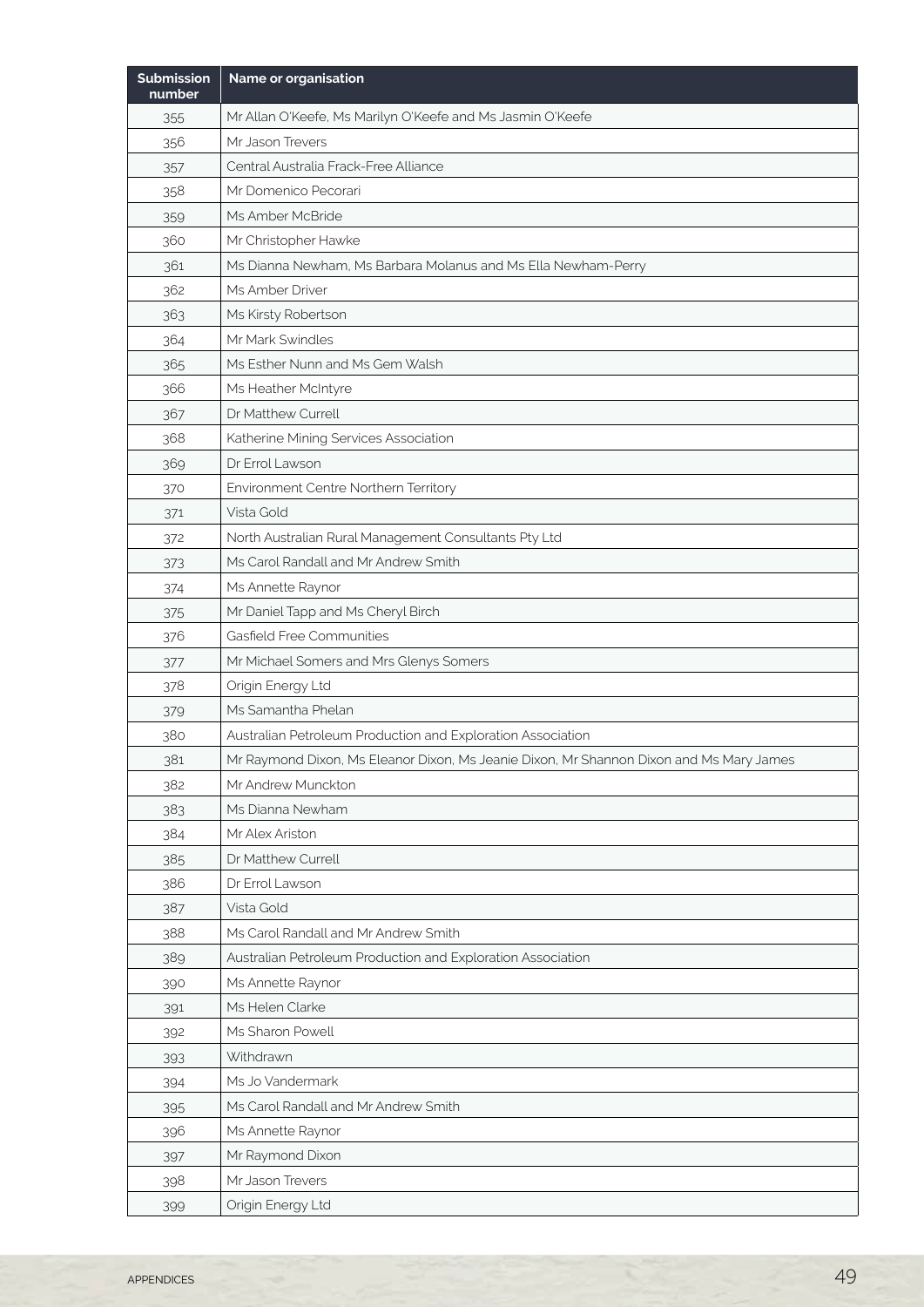| <b>Submission</b><br>number | Name or organisation                                                                    |
|-----------------------------|-----------------------------------------------------------------------------------------|
| 355                         | Mr Allan O'Keefe, Ms Marilyn O'Keefe and Ms Jasmin O'Keefe                              |
| 356                         | Mr Jason Trevers                                                                        |
| 357                         | Central Australia Frack-Free Alliance                                                   |
| 358                         | Mr Domenico Pecorari                                                                    |
| 359                         | Ms Amber McBride                                                                        |
| 360                         | Mr Christopher Hawke                                                                    |
| 361                         | Ms Dianna Newham, Ms Barbara Molanus and Ms Ella Newham-Perry                           |
| 362                         | Ms Amber Driver                                                                         |
| 363                         | Ms Kirsty Robertson                                                                     |
| 364                         | Mr Mark Swindles                                                                        |
| 365                         | Ms Esther Nunn and Ms Gem Walsh                                                         |
| 366                         | Ms Heather McIntyre                                                                     |
| 367                         | Dr Matthew Currell                                                                      |
| 368                         | Katherine Mining Services Association                                                   |
| 369                         | Dr Errol Lawson                                                                         |
| 370                         | Environment Centre Northern Territory                                                   |
| 371                         | Vista Gold                                                                              |
| 372                         | North Australian Rural Management Consultants Pty Ltd                                   |
| 373                         | Ms Carol Randall and Mr Andrew Smith                                                    |
| 374                         | Ms Annette Raynor                                                                       |
| 375                         | Mr Daniel Tapp and Ms Cheryl Birch                                                      |
| 376                         | Gasfield Free Communities                                                               |
| 377                         | Mr Michael Somers and Mrs Glenys Somers                                                 |
| 378                         | Origin Energy Ltd                                                                       |
| 379                         | Ms Samantha Phelan                                                                      |
| 380                         | Australian Petroleum Production and Exploration Association                             |
| 381                         | Mr Raymond Dixon, Ms Eleanor Dixon, Ms Jeanie Dixon, Mr Shannon Dixon and Ms Mary James |
| 382                         | Mr Andrew Munckton                                                                      |
| 383                         | Ms Dianna Newham                                                                        |
| 384                         | Mr Alex Ariston                                                                         |
| 385                         | Dr Matthew Currell                                                                      |
| 386                         | Dr Errol Lawson                                                                         |
| 387                         | Vista Gold                                                                              |
| 388                         | Ms Carol Randall and Mr Andrew Smith                                                    |
| 389                         | Australian Petroleum Production and Exploration Association                             |
| 390                         | Ms Annette Raynor                                                                       |
| 391                         | Ms Helen Clarke                                                                         |
| 392                         | Ms Sharon Powell                                                                        |
| 393                         | Withdrawn                                                                               |
| 394                         | Ms Jo Vandermark                                                                        |
| 395                         | Ms Carol Randall and Mr Andrew Smith                                                    |
| 396                         | Ms Annette Raynor                                                                       |
| 397                         | Mr Raymond Dixon                                                                        |
| 398                         | Mr Jason Trevers                                                                        |
| 399                         | Origin Energy Ltd                                                                       |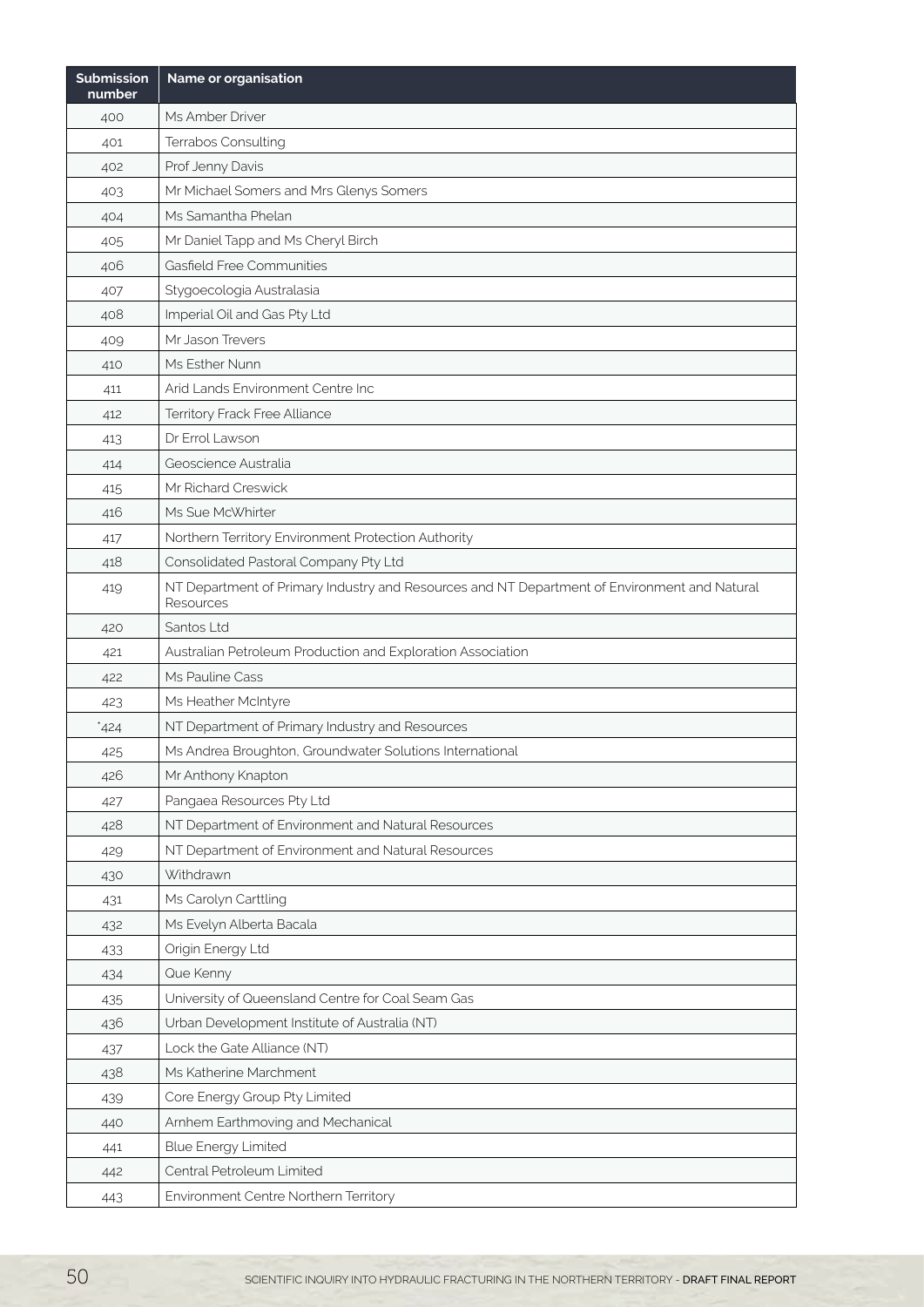| <b>Submission</b><br>number | Name or organisation                                                                                      |
|-----------------------------|-----------------------------------------------------------------------------------------------------------|
| 400                         | Ms Amber Driver                                                                                           |
| 401                         | Terrabos Consulting                                                                                       |
| 402                         | Prof Jenny Davis                                                                                          |
| 403                         | Mr Michael Somers and Mrs Glenys Somers                                                                   |
| 404                         | Ms Samantha Phelan                                                                                        |
| 405                         | Mr Daniel Tapp and Ms Cheryl Birch                                                                        |
| 406                         | Gasfield Free Communities                                                                                 |
| 407                         | Stygoecologia Australasia                                                                                 |
| 408                         | Imperial Oil and Gas Pty Ltd                                                                              |
| 409                         | Mr Jason Trevers                                                                                          |
| 410                         | Ms Esther Nunn                                                                                            |
| 411                         | Arid Lands Environment Centre Inc                                                                         |
| 412                         | Territory Frack Free Alliance                                                                             |
| 413                         | Dr Errol Lawson                                                                                           |
| 414                         | Geoscience Australia                                                                                      |
| 415                         | Mr Richard Creswick                                                                                       |
| 416                         | Ms Sue McWhirter                                                                                          |
| 417                         | Northern Territory Environment Protection Authority                                                       |
| 418                         | Consolidated Pastoral Company Pty Ltd                                                                     |
| 419                         | NT Department of Primary Industry and Resources and NT Department of Environment and Natural<br>Resources |
| 420                         | Santos Ltd                                                                                                |
| 421                         | Australian Petroleum Production and Exploration Association                                               |
| 422                         | Ms Pauline Cass                                                                                           |
| 423                         | Ms Heather McIntyre                                                                                       |
| *424                        | NT Department of Primary Industry and Resources                                                           |
| 425                         | Ms Andrea Broughton, Groundwater Solutions International                                                  |
| 426                         | Mr Anthony Knapton                                                                                        |
| 427                         | Pangaea Resources Pty Ltd                                                                                 |
| 428                         | NT Department of Environment and Natural Resources                                                        |
| 429                         | NT Department of Environment and Natural Resources                                                        |
| 430                         | Withdrawn                                                                                                 |
| 431                         | Ms Carolyn Carttling                                                                                      |
| 432                         | Ms Evelyn Alberta Bacala                                                                                  |
| 433                         | Origin Energy Ltd                                                                                         |
| 434                         | Que Kenny                                                                                                 |
| 435                         | University of Queensland Centre for Coal Seam Gas                                                         |
| 436                         | Urban Development Institute of Australia (NT)                                                             |
| 437                         | Lock the Gate Alliance (NT)                                                                               |
| 438                         | Ms Katherine Marchment                                                                                    |
| 439                         | Core Energy Group Pty Limited                                                                             |
| 440                         | Arnhem Earthmoving and Mechanical                                                                         |
| 441                         | <b>Blue Energy Limited</b>                                                                                |
| 442                         | Central Petroleum Limited                                                                                 |
| 443                         | Environment Centre Northern Territory                                                                     |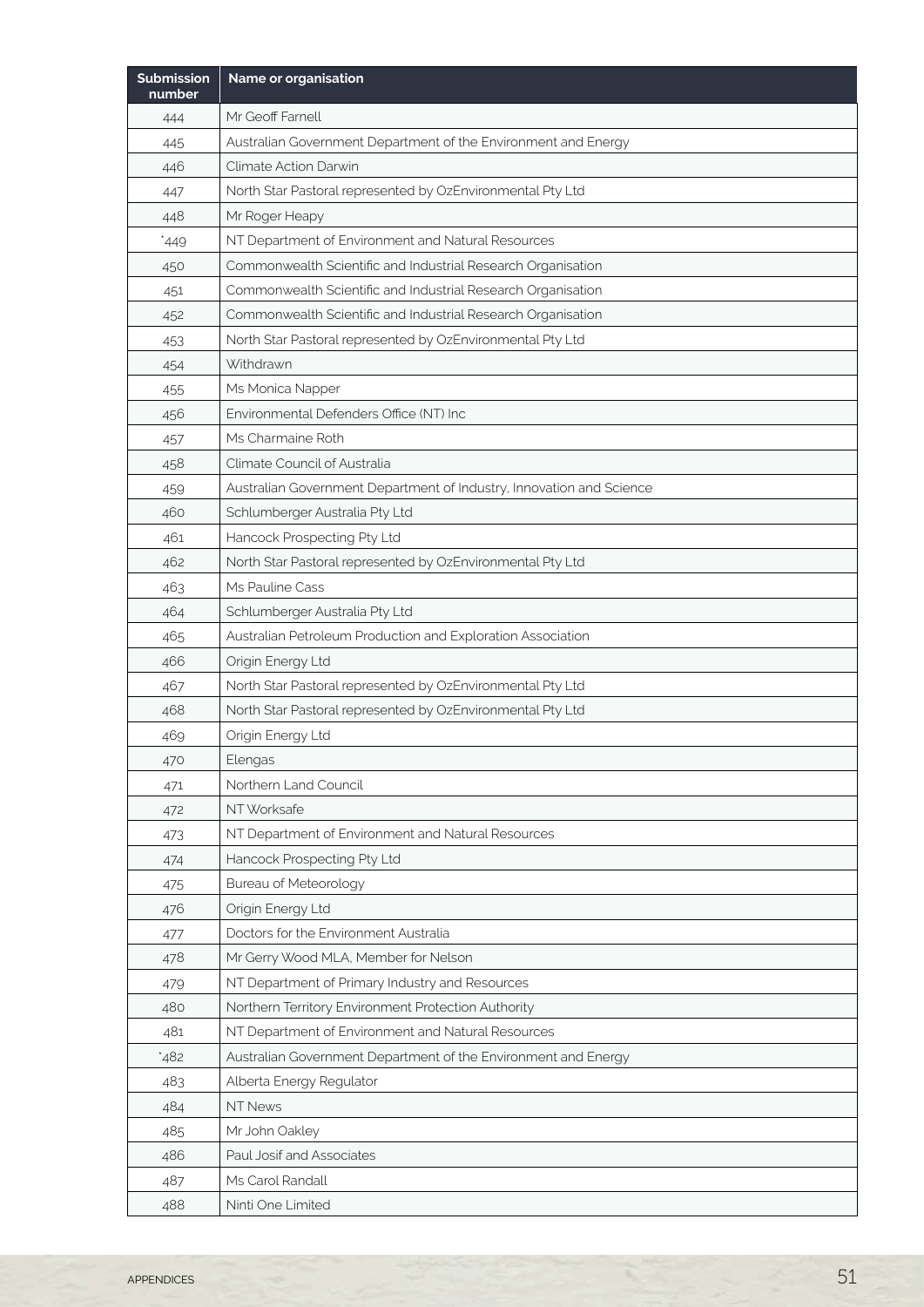| <b>Submission</b><br>number | Name or organisation                                                 |
|-----------------------------|----------------------------------------------------------------------|
| 444                         | Mr Geoff Farnell                                                     |
| 445                         | Australian Government Department of the Environment and Energy       |
| 446                         | Climate Action Darwin                                                |
| 447                         | North Star Pastoral represented by OzEnvironmental Pty Ltd           |
| 448                         | Mr Roger Heapy                                                       |
| `449                        | NT Department of Environment and Natural Resources                   |
| 450                         | Commonwealth Scientific and Industrial Research Organisation         |
| 451                         | Commonwealth Scientific and Industrial Research Organisation         |
| 452                         | Commonwealth Scientific and Industrial Research Organisation         |
| 453                         | North Star Pastoral represented by OzEnvironmental Pty Ltd           |
| 454                         | Withdrawn                                                            |
| 455                         | Ms Monica Napper                                                     |
| 456                         | Environmental Defenders Office (NT) Inc                              |
| 457                         | Ms Charmaine Roth                                                    |
| 458                         | Climate Council of Australia                                         |
| 459                         | Australian Government Department of Industry, Innovation and Science |
| 460                         | Schlumberger Australia Pty Ltd                                       |
| 461                         | Hancock Prospecting Pty Ltd                                          |
| 462                         | North Star Pastoral represented by OzEnvironmental Pty Ltd           |
| 463                         | Ms Pauline Cass                                                      |
| 464                         | Schlumberger Australia Pty Ltd                                       |
| 465                         | Australian Petroleum Production and Exploration Association          |
| 466                         | Origin Energy Ltd                                                    |
| 467                         | North Star Pastoral represented by OzEnvironmental Pty Ltd           |
| 468                         | North Star Pastoral represented by OzEnvironmental Pty Ltd           |
| 469                         | Origin Energy Ltd                                                    |
| 470                         | Elengas                                                              |
| 471                         | Northern Land Council                                                |
| 472                         | NT Worksafe                                                          |
| 473                         | NT Department of Environment and Natural Resources                   |
| 474                         | Hancock Prospecting Pty Ltd                                          |
| 475                         | <b>Bureau of Meteorology</b>                                         |
| 476                         | Origin Energy Ltd                                                    |
| 477                         | Doctors for the Environment Australia                                |
| 478                         | Mr Gerry Wood MLA, Member for Nelson                                 |
| 479                         | NT Department of Primary Industry and Resources                      |
| 480                         | Northern Territory Environment Protection Authority                  |
| 481                         | NT Department of Environment and Natural Resources                   |
| 482                         | Australian Government Department of the Environment and Energy       |
| 483                         | Alberta Energy Regulator                                             |
| 484                         | <b>NT News</b>                                                       |
| 485                         | Mr John Oakley                                                       |
| 486                         | Paul Josif and Associates                                            |
| 487                         | Ms Carol Randall                                                     |
| 488                         | Ninti One Limited                                                    |